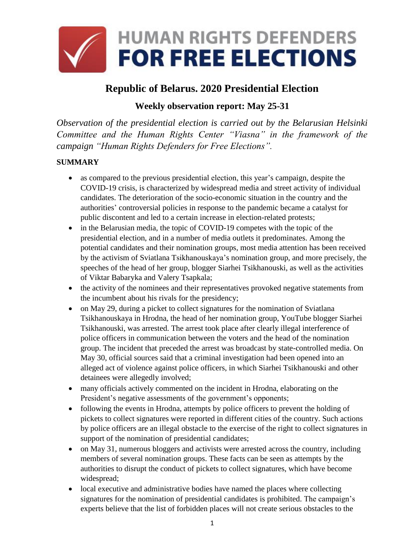

# **Republic of Belarus. 2020 Presidential Election**

## **Weekly observation report: May 25-31**

*Observation of the presidential election is carried out by the Belarusian Helsinki Committee and the Human Rights Center "Viasna" in the framework of the campaign "Human Rights Defenders for Free Elections".*

## **SUMMARY**

- as compared to the previous presidential election, this year's campaign, despite the COVID-19 crisis, is characterized by widespread media and street activity of individual candidates. The deterioration of the socio-economic situation in the country and the authorities' controversial policies in response to the pandemic became a catalyst for public discontent and led to a certain increase in election-related protests;
- in the Belarusian media, the topic of COVID-19 competes with the topic of the presidential election, and in a number of media outlets it predominates. Among the potential candidates and their nomination groups, most media attention has been received by the activism of Sviatlana Tsikhanouskaya's nomination group, and more precisely, the speeches of the head of her group, blogger Siarhei Tsikhanouski, as well as the activities of Viktar Babaryka and Valery Tsapkala;
- the activity of the nominees and their representatives provoked negative statements from the incumbent about his rivals for the presidency;
- on May 29, during a picket to collect signatures for the nomination of Sviatlana Tsikhanouskaya in Hrodna, the head of her nomination group, YouTube blogger Siarhei Tsikhanouski, was arrested. The arrest took place after clearly illegal interference of police officers in communication between the voters and the head of the nomination group. The incident that preceded the arrest was broadcast by state-controlled media. On May 30, official sources said that a criminal investigation had been opened into an alleged act of violence against police officers, in which Siarhei Tsikhanouski and other detainees were allegedly involved;
- many officials actively commented on the incident in Hrodna, elaborating on the President's negative assessments of the government's opponents;
- following the events in Hrodna, attempts by police officers to prevent the holding of pickets to collect signatures were reported in different cities of the country. Such actions by police officers are an illegal obstacle to the exercise of the right to collect signatures in support of the nomination of presidential candidates;
- on May 31, numerous bloggers and activists were arrested across the country, including members of several nomination groups. These facts can be seen as attempts by the authorities to disrupt the conduct of pickets to collect signatures, which have become widespread;
- local executive and administrative bodies have named the places where collecting signatures for the nomination of presidential candidates is prohibited. The campaign's experts believe that the list of forbidden places will not create serious obstacles to the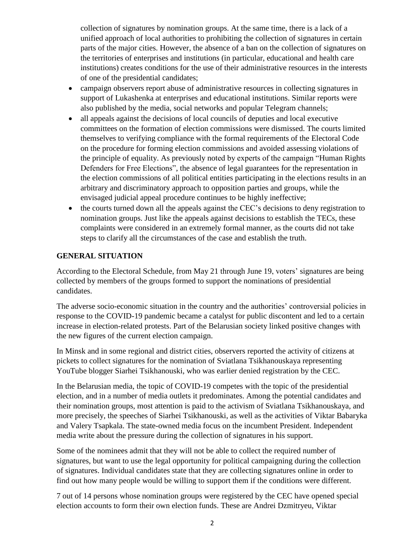collection of signatures by nomination groups. At the same time, there is a lack of a unified approach of local authorities to prohibiting the collection of signatures in certain parts of the major cities. However, the absence of a ban on the collection of signatures on the territories of enterprises and institutions (in particular, educational and health care institutions) creates conditions for the use of their administrative resources in the interests of one of the presidential candidates;

- campaign observers report abuse of administrative resources in collecting signatures in support of Lukashenka at enterprises and educational institutions. Similar reports were also published by the media, social networks and popular Telegram channels;
- all appeals against the decisions of local councils of deputies and local executive committees on the formation of election commissions were dismissed. The courts limited themselves to verifying compliance with the formal requirements of the Electoral Code on the procedure for forming election commissions and avoided assessing violations of the principle of equality. As previously noted by experts of the campaign "Human Rights Defenders for Free Elections", the absence of legal guarantees for the representation in the election commissions of all political entities participating in the elections results in an arbitrary and discriminatory approach to opposition parties and groups, while the envisaged judicial appeal procedure continues to be highly ineffective;
- the courts turned down all the appeals against the CEC's decisions to deny registration to nomination groups. Just like the appeals against decisions to establish the TECs, these complaints were considered in an extremely formal manner, as the courts did not take steps to clarify all the circumstances of the case and establish the truth.

#### **GENERAL SITUATION**

According to the Electoral Schedule, from May 21 through June 19, voters' signatures are being collected by members of the groups formed to support the nominations of presidential candidates.

The adverse socio-economic situation in the country and the authorities' controversial policies in response to the COVID-19 pandemic became a catalyst for public discontent and led to a certain increase in election-related protests. Part of the Belarusian society linked positive changes with the new figures of the current election campaign.

In Minsk and in some regional and district cities, observers reported the activity of citizens at pickets to collect signatures for the nomination of Sviatlana Tsikhanouskaya representing YouTube blogger Siarhei Tsikhanouski, who was earlier denied registration by the CEC.

In the Belarusian media, the topic of COVID-19 competes with the topic of the presidential election, and in a number of media outlets it predominates. Among the potential candidates and their nomination groups, most attention is paid to the activism of Sviatlana Tsikhanouskaya, and more precisely, the speeches of Siarhei Tsikhanouski, as well as the activities of Viktar Babaryka and Valery Tsapkala. The state-owned media focus on the incumbent President. Independent media write about the pressure during the collection of signatures in his support.

Some of the nominees admit that they will not be able to collect the required number of signatures, but want to use the legal opportunity for political campaigning during the collection of signatures. Individual candidates state that they are collecting signatures online in order to find out how many people would be willing to support them if the conditions were different.

7 out of 14 persons whose nomination groups were registered by the CEC have opened special election accounts to form their own election funds. These are Andrei Dzmitryeu, Viktar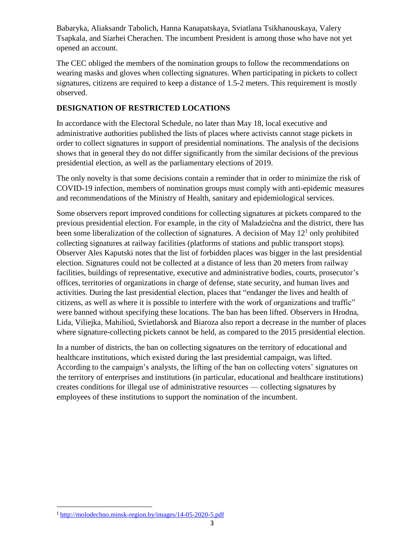Babaryka, Aliaksandr Tabolich, Hanna Kanapatskaya, Sviatlana Tsikhanouskaya, Valery Tsapkala, and Siarhei Cherachen. The incumbent President is among those who have not yet opened an account.

The CEC obliged the members of the nomination groups to follow the recommendations on wearing masks and gloves when collecting signatures. When participating in pickets to collect signatures, citizens are required to keep a distance of 1.5-2 meters. This requirement is mostly observed.

#### **DESIGNATION OF RESTRICTED LOCATIONS**

In accordance with the Electoral Schedule, no later than May 18, local executive and administrative authorities published the lists of places where activists cannot stage pickets in order to collect signatures in support of presidential nominations. The analysis of the decisions shows that in general they do not differ significantly from the similar decisions of the previous presidential election, as well as the parliamentary elections of 2019.

The only novelty is that some decisions contain a reminder that in order to minimize the risk of COVID-19 infection, members of nomination groups must comply with anti-epidemic measures and recommendations of the Ministry of Health, sanitary and epidemiological services.

Some observers report improved conditions for collecting signatures at pickets compared to the previous presidential election. For example, in the city of Maladziečna and the district, there has been some liberalization of the collection of signatures. A decision of May  $12<sup>1</sup>$  only prohibited collecting signatures at railway facilities (platforms of stations and public transport stops). Observer Ales Kaputski notes that the list of forbidden places was bigger in the last presidential election. Signatures could not be collected at a distance of less than 20 meters from railway facilities, buildings of representative, executive and administrative bodies, courts, prosecutor's offices, territories of organizations in charge of defense, state security, and human lives and activities. During the last presidential election, places that "endanger the lives and health of citizens, as well as where it is possible to interfere with the work of organizations and traffic" were banned without specifying these locations. The ban has been lifted. Observers in Hrodna, Lida, Viliejka, Mahilioŭ, Svietlahorsk and Biaroza also report a decrease in the number of places where signature-collecting pickets cannot be held, as compared to the 2015 presidential election.

In a number of districts, the ban on collecting signatures on the territory of educational and healthcare institutions, which existed during the last presidential campaign, was lifted. According to the campaign's analysts, the lifting of the ban on collecting voters' signatures on the territory of enterprises and institutions (in particular, educational and healthcare institutions) creates conditions for illegal use of administrative resources — collecting signatures by employees of these institutions to support the nomination of the incumbent.

**.** 

<sup>1</sup> <http://molodechno.minsk-region.by/images/14-05-2020-5.pdf>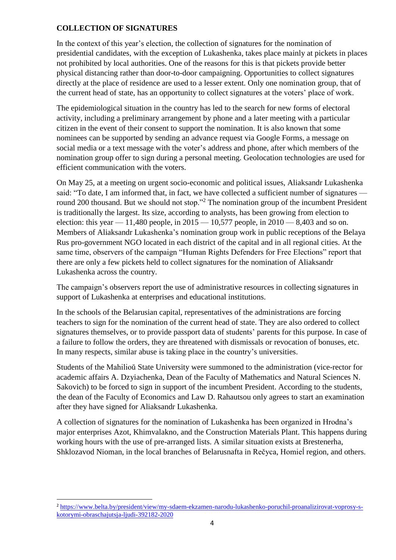#### **COLLECTION OF SIGNATURES**

1

In the context of this year's election, the collection of signatures for the nomination of presidential candidates, with the exception of Lukashenka, takes place mainly at pickets in places not prohibited by local authorities. One of the reasons for this is that pickets provide better physical distancing rather than door-to-door campaigning. Opportunities to collect signatures directly at the place of residence are used to a lesser extent. Only one nomination group, that of the current head of state, has an opportunity to collect signatures at the voters' place of work.

The epidemiological situation in the country has led to the search for new forms of electoral activity, including a preliminary arrangement by phone and a later meeting with a particular citizen in the event of their consent to support the nomination. It is also known that some nominees can be supported by sending an advance request via Google Forms, a message on social media or a text message with the voter's address and phone, after which members of the nomination group offer to sign during a personal meeting. Geolocation technologies are used for efficient communication with the voters.

On May 25, at a meeting on urgent socio-economic and political issues, Aliaksandr Lukashenka said: "To date, I am informed that, in fact, we have collected a sufficient number of signatures round 200 thousand. But we should not stop."<sup>2</sup> The nomination group of the incumbent President is traditionally the largest. Its size, according to analysts, has been growing from election to election: this year  $-11,480$  people, in  $2015 - 10,577$  people, in  $2010 - 8,403$  and so on. Members of Aliaksandr Lukashenka's nomination group work in public receptions of the Belaya Rus pro-government NGO located in each district of the capital and in all regional cities. At the same time, observers of the campaign "Human Rights Defenders for Free Elections" report that there are only a few pickets held to collect signatures for the nomination of Aliaksandr Lukashenka across the country.

The campaign's observers report the use of administrative resources in collecting signatures in support of Lukashenka at enterprises and educational institutions.

In the schools of the Belarusian capital, representatives of the administrations are forcing teachers to sign for the nomination of the current head of state. They are also ordered to collect signatures themselves, or to provide passport data of students' parents for this purpose. In case of a failure to follow the orders, they are threatened with dismissals or revocation of bonuses, etc. In many respects, similar abuse is taking place in the country's universities.

Students of the Mahilioŭ State University were summoned to the administration (vice-rector for academic affairs A. Dzyiachenka, Dean of the Faculty of Mathematics and Natural Sciences N. Sakovich) to be forced to sign in support of the incumbent President. According to the students, the dean of the Faculty of Economics and Law D. Rahautsou only agrees to start an examination after they have signed for Aliaksandr Lukashenka.

A collection of signatures for the nomination of Lukashenka has been organized in Hrodna's major enterprises Azot, Khimvalakno, and the Construction Materials Plant. This happens during working hours with the use of pre-arranged lists. A similar situation exists at Brestenerha, Shklozavod Nioman, in the local branches of Belarusnafta in Rečyca, Homieĺ region, and others.

<sup>2</sup> [https://www.belta.by/president/view/my-sdaem-ekzamen-narodu-lukashenko-poruchil-proanalizirovat-voprosy-s](https://www.belta.by/president/view/my-sdaem-ekzamen-narodu-lukashenko-poruchil-proanalizirovat-voprosy-s-kotorymi-obraschajutsja-ljudi-392182-2020)[kotorymi-obraschajutsja-ljudi-392182-2020](https://www.belta.by/president/view/my-sdaem-ekzamen-narodu-lukashenko-poruchil-proanalizirovat-voprosy-s-kotorymi-obraschajutsja-ljudi-392182-2020)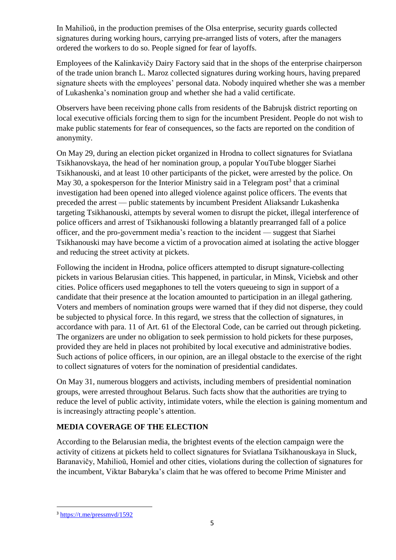In Mahilioŭ, in the production premises of the Olsa enterprise, security guards collected signatures during working hours, carrying pre-arranged lists of voters, after the managers ordered the workers to do so. People signed for fear of layoffs.

Employees of the Kalinkavičy Dairy Factory said that in the shops of the enterprise chairperson of the trade union branch L. Maroz collected signatures during working hours, having prepared signature sheets with the employees' personal data. Nobody inquired whether she was a member of Lukashenka's nomination group and whether she had a valid certificate.

Observers have been receiving phone calls from residents of the Babrujsk district reporting on local executive officials forcing them to sign for the incumbent President. People do not wish to make public statements for fear of consequences, so the facts are reported on the condition of anonymity.

On May 29, during an election picket organized in Hrodna to collect signatures for Sviatlana Tsikhanovskaya, the head of her nomination group, a popular YouTube blogger Siarhei Tsikhanouski, and at least 10 other participants of the picket, were arrested by the police. On May 30, a spokesperson for the Interior Ministry said in a Telegram post<sup>3</sup> that a criminal investigation had been opened into alleged violence against police officers. The events that preceded the arrest — public statements by incumbent President Aliaksandr Lukashenka targeting Tsikhanouski, attempts by several women to disrupt the picket, illegal interference of police officers and arrest of Tsikhanouski following a blatantly prearranged fall of a police officer, and the pro-government media's reaction to the incident — suggest that Siarhei Tsikhanouski may have become a victim of a provocation aimed at isolating the active blogger and reducing the street activity at pickets.

Following the incident in Hrodna, police officers attempted to disrupt signature-collecting pickets in various Belarusian cities. This happened, in particular, in Minsk, Viciebsk and other cities. Police officers used megaphones to tell the voters queueing to sign in support of a candidate that their presence at the location amounted to participation in an illegal gathering. Voters and members of nomination groups were warned that if they did not disperse, they could be subjected to physical force. In this regard, we stress that the collection of signatures, in accordance with para. 11 of Art. 61 of the Electoral Code, can be carried out through picketing. The organizers are under no obligation to seek permission to hold pickets for these purposes, provided they are held in places not prohibited by local executive and administrative bodies. Such actions of police officers, in our opinion, are an illegal obstacle to the exercise of the right to collect signatures of voters for the nomination of presidential candidates.

On May 31, numerous bloggers and activists, including members of presidential nomination groups, were arrested throughout Belarus. Such facts show that the authorities are trying to reduce the level of public activity, intimidate voters, while the election is gaining momentum and is increasingly attracting people's attention.

## **MEDIA COVERAGE OF THE ELECTION**

According to the Belarusian media, the brightest events of the election campaign were the activity of citizens at pickets held to collect signatures for Sviatlana Tsikhanouskaya in Sluck, Baranavičy, Mahilioŭ, Homieĺ and other cities, violations during the collection of signatures for the incumbent, Viktar Babaryka's claim that he was offered to become Prime Minister and

**<sup>.</sup>** <sup>3</sup> <https://t.me/pressmvd/1592>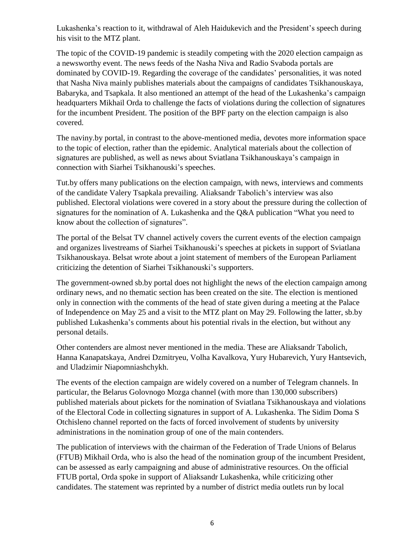Lukashenka's reaction to it, withdrawal of Aleh Haidukevich and the President's speech during his visit to the MTZ plant.

The topic of the COVID-19 pandemic is steadily competing with the 2020 election campaign as a newsworthy event. The news feeds of the Nasha Niva and Radio Svaboda portals are dominated by COVID-19. Regarding the coverage of the candidates' personalities, it was noted that Nasha Niva mainly publishes materials about the campaigns of candidates Tsikhanouskaya, Babaryka, and Tsapkala. It also mentioned an attempt of the head of the Lukashenka's campaign headquarters Mikhail Orda to challenge the facts of violations during the collection of signatures for the incumbent President. The position of the BPF party on the election campaign is also covered.

The naviny.by portal, in contrast to the above-mentioned media, devotes more information space to the topic of election, rather than the epidemic. Analytical materials about the collection of signatures are published, as well as news about Sviatlana Tsikhanouskaya's campaign in connection with Siarhei Tsikhanouski's speeches.

Tut.by offers many publications on the election campaign, with news, interviews and comments of the candidate Valery Tsapkala prevailing. Aliaksandr Tabolich's interview was also published. Electoral violations were covered in a story about the pressure during the collection of signatures for the nomination of A. Lukashenka and the Q&A publication "What you need to know about the collection of signatures".

The portal of the Belsat TV channel actively covers the current events of the election campaign and organizes livestreams of Siarhei Tsikhanouski's speeches at pickets in support of Sviatlana Tsikhanouskaya. Belsat wrote about a joint statement of members of the European Parliament criticizing the detention of Siarhei Tsikhanouski's supporters.

The government-owned sb.by portal does not highlight the news of the election campaign among ordinary news, and no thematic section has been created on the site. The election is mentioned only in connection with the comments of the head of state given during a meeting at the Palace of Independence on May 25 and a visit to the MTZ plant on May 29. Following the latter, sb.by published Lukashenka's comments about his potential rivals in the election, but without any personal details.

Other contenders are almost never mentioned in the media. These are Aliaksandr Tabolich, Hanna Kanapatskaya, Andrei Dzmitryeu, Volha Kavalkova, Yury Hubarevich, Yury Hantsevich, and Uladzimir Niapomniashchykh.

The events of the election campaign are widely covered on a number of Telegram channels. In particular, the Belarus Golovnogo Mozga channel (with more than 130,000 subscribers) published materials about pickets for the nomination of Sviatlana Tsikhanouskaya and violations of the Electoral Code in collecting signatures in support of A. Lukashenka. The Sidim Doma S Otchisleno channel reported on the facts of forced involvement of students by university administrations in the nomination group of one of the main contenders.

The publication of interviews with the chairman of the Federation of Trade Unions of Belarus (FTUB) Mikhail Orda, who is also the head of the nomination group of the incumbent President, can be assessed as early campaigning and abuse of administrative resources. On the official FTUB portal, Orda spoke in support of Aliaksandr Lukashenka, while criticizing other candidates. The statement was reprinted by a number of district media outlets run by local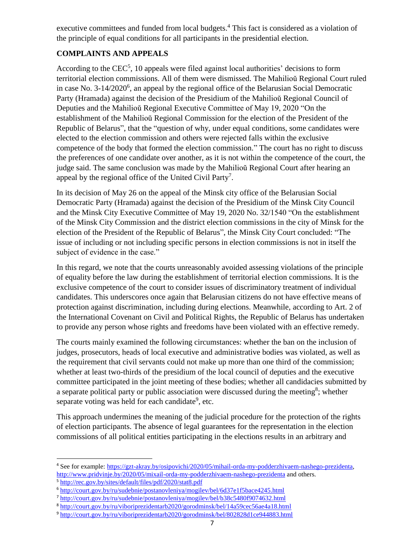executive committees and funded from local budgets.<sup>4</sup> This fact is considered as a violation of the principle of equal conditions for all participants in the presidential election.

## **COMPLAINTS AND APPEALS**

According to the  $CEC<sup>5</sup>$ , 10 appeals were filed against local authorities' decisions to form territorial election commissions. All of them were dismissed. The Mahilioŭ Regional Court ruled in case No. 3-14/2020<sup>6</sup>, an appeal by the regional office of the Belarusian Social Democratic Party (Hramada) against the decision of the Presidium of the Mahilioŭ Regional Council of Deputies and the Mahilioŭ Regional Executive Committee of May 19, 2020 "On the establishment of the Mahilioŭ Regional Commission for the election of the President of the Republic of Belarus", that the "question of why, under equal conditions, some candidates were elected to the election commission and others were rejected falls within the exclusive competence of the body that formed the election commission." The court has no right to discuss the preferences of one candidate over another, as it is not within the competence of the court, the judge said. The same conclusion was made by the Mahilioŭ Regional Court after hearing an appeal by the regional office of the United Civil Party<sup>7</sup>.

In its decision of May 26 on the appeal of the Minsk city office of the Belarusian Social Democratic Party (Hramada) against the decision of the Presidium of the Minsk City Council and the Minsk City Executive Committee of May 19, 2020 No. 32/1540 "On the establishment of the Minsk City Commission and the district election commissions in the city of Minsk for the election of the President of the Republic of Belarus", the Minsk City Court concluded: "The issue of including or not including specific persons in election commissions is not in itself the subject of evidence in the case."

In this regard, we note that the courts unreasonably avoided assessing violations of the principle of equality before the law during the establishment of territorial election commissions. It is the exclusive competence of the court to consider issues of discriminatory treatment of individual candidates. This underscores once again that Belarusian citizens do not have effective means of protection against discrimination, including during elections. Meanwhile, according to Art. 2 of the International Covenant on Civil and Political Rights, the Republic of Belarus has undertaken to provide any person whose rights and freedoms have been violated with an effective remedy.

The courts mainly examined the following circumstances: whether the ban on the inclusion of judges, prosecutors, heads of local executive and administrative bodies was violated, as well as the requirement that civil servants could not make up more than one third of the commission; whether at least two-thirds of the presidium of the local council of deputies and the executive committee participated in the joint meeting of these bodies; whether all candidacies submitted by a separate political party or public association were discussed during the meeting<sup>8</sup>; whether separate voting was held for each candidate<sup>9</sup>, etc.

This approach undermines the meaning of the judicial procedure for the protection of the rights of election participants. The absence of legal guarantees for the representation in the election commissions of all political entities participating in the elections results in an arbitrary and

1

<sup>4</sup> See for example: [https://gzt-akray.by/osipovichi/2020/05/mihail-orda-my-podderzhivaem-nashego-prezidenta,](https://gzt-akray.by/osipovichi/2020/05/mihail-orda-my-podderzhivaem-nashego-prezidenta) <http://www.pridvinje.by/2020/05/mixail-orda-my-podderzhivaem-nashego-prezidenta> and others.

<sup>5</sup> <http://rec.gov.by/sites/default/files/pdf/2020/stat8.pdf>

<sup>6</sup> <http://court.gov.by/ru/sudebnie/postanovleniya/mogilev/bel/6d37e1f5bace4245.html>

<sup>7</sup> <http://court.gov.by/ru/sudebnie/postanovleniya/mogilev/bel/b38c5480f9074632.html>

<sup>8</sup> <http://court.gov.by/ru/viboriprezidentarb2020/gorodminsk/bel/14a59cec56ae4a18.html>

<sup>9</sup> <http://court.gov.by/ru/viboriprezidentarb2020/gorodminsk/bel/802828d1ce944883.html>